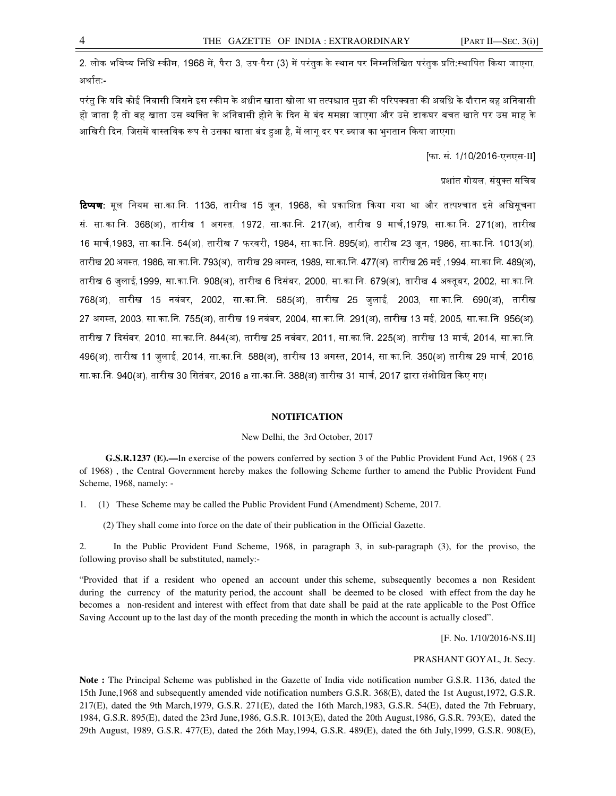2. लोक भविष्य निधि स्कीम, 1968 में, पैरा 3, उप-पैरा (3) में परंतुक के स्थान पर निम्नलिखित परंतुक प्रति:स्थापित किया जाएगा, अर्थात:-

परंतु कि यदि कोई निवासी जिसने इस स्कीम के अधीन खाता खोला था तत्पश्चात मुद्रा की परिपक्वता की अवधि के दौरान वह अनिवासी हो जाता है तो वह खाता उस व्यक्ति के अनिवासी होने के दिन से बंद समझा जाएगा और उसे डाकघर बचत खाते पर उस माह के आखिरी दिन, जिसमें वास्तविक रूप से उसका खाता बंद हुआ है, में लागू दर पर ब्याज का भुगतान किया जाएगा।

[फा. सं. 1/10/2016-एनएस-II]

प्रशांत गोयल, संयक्त सचिव

**टिप्पण:** मूल नियम सा.का.नि. 1136, तारीख 15 जून, 1968, को प्रकाशित किया गया था और तत्पश्चात इसे अधिसूचना सं. सा.का.नि. 368(अ), तारीख 1 अगस्त, 1972, सा.का.नि. 217(अ), तारीख 9 मार्च,1979, सा.का.नि. 271(अ), तारीख 16 मार्च,1983, सा.का.नि. 54(अ), तारीख 7 फरवरी, 1984, सा.का.नि. 895(अ), तारीख 23 जून, 1986, सा.का.नि. 1013(अ), तारीख 20 अगस्त, 1986, सा.का.नि. 793(अ), तारीख 29 अगस्त, 1989, सा.का.नि. 477(अ), तारीख 26 मई ,1994, सा.का.नि. 489(अ), तारीख 6 जुलाई,1999, सा.का.िन. 908(अ), तारीख 6 Gदसंबर, 2000, सा.का.िन. 679(अ), तारीख 4 अ तूबर, 2002, सा.का.िन. 768(अ), तारीख 15 नवंबर, 2002, सा.का.िन. 585(अ), तारीख 25 जुलाई, 2003, सा.का.िन. 690(अ), तारीख 27 अग& त, 2003, सा.का.िन. 755(अ), तारीख 19 नवंबर, 2004, सा.का.िन. 291(अ), तारीख 13 मई, 2005, सा.का.िन. 956(अ), तारीख 7 दिसंबर, 2010, सा.का.नि. 844(अ), तारीख 25 नवंबर, 2011, सा.का.नि. 225(अ), तारीख 13 मार्च, 2014, सा.का.नि. 496(अ), तारीख 11 जुलाई, 2014, सा.का.नि. 588(अ), तारीख 13 अगस्त, 2014, सा.का.नि. 350(अ) तारीख 29 मार्च, 2016, सा.का.नि. 940(अ), तारीख 30 सितंबर, 2016 a सा.का.नि. 388(अ) तारीख 31 मार्च, 2017 द्वारा संशोधित किए गए।

#### **NOTIFICATION**

#### New Delhi, the 3rd October, 2017

 **G.S.R.1237 (E).—**In exercise of the powers conferred by section 3 of the Public Provident Fund Act, 1968 ( 23 of 1968) , the Central Government hereby makes the following Scheme further to amend the Public Provident Fund Scheme, 1968, namely: -

1. (1) These Scheme may be called the Public Provident Fund (Amendment) Scheme, 2017.

(2) They shall come into force on the date of their publication in the Official Gazette.

2. In the Public Provident Fund Scheme, 1968, in paragraph 3, in sub-paragraph (3), for the proviso, the following proviso shall be substituted, namely:-

"Provided that if a resident who opened an account under this scheme, subsequently becomes a non Resident during the currency of the maturity period, the account shall be deemed to be closed with effect from the day he becomes a non-resident and interest with effect from that date shall be paid at the rate applicable to the Post Office Saving Account up to the last day of the month preceding the month in which the account is actually closed".

[F. No. 1/10/2016-NS.II]

PRASHANT GOYAL, Jt. Secy.

**Note :** The Principal Scheme was published in the Gazette of India vide notification number G.S.R. 1136, dated the 15th June,1968 and subsequently amended vide notification numbers G.S.R. 368(E), dated the 1st August,1972, G.S.R. 217(E), dated the 9th March,1979, G.S.R. 271(E), dated the 16th March,1983, G.S.R. 54(E), dated the 7th February, 1984, G.S.R. 895(E), dated the 23rd June,1986, G.S.R. 1013(E), dated the 20th August,1986, G.S.R. 793(E), dated the 29th August, 1989, G.S.R. 477(E), dated the 26th May,1994, G.S.R. 489(E), dated the 6th July,1999, G.S.R. 908(E),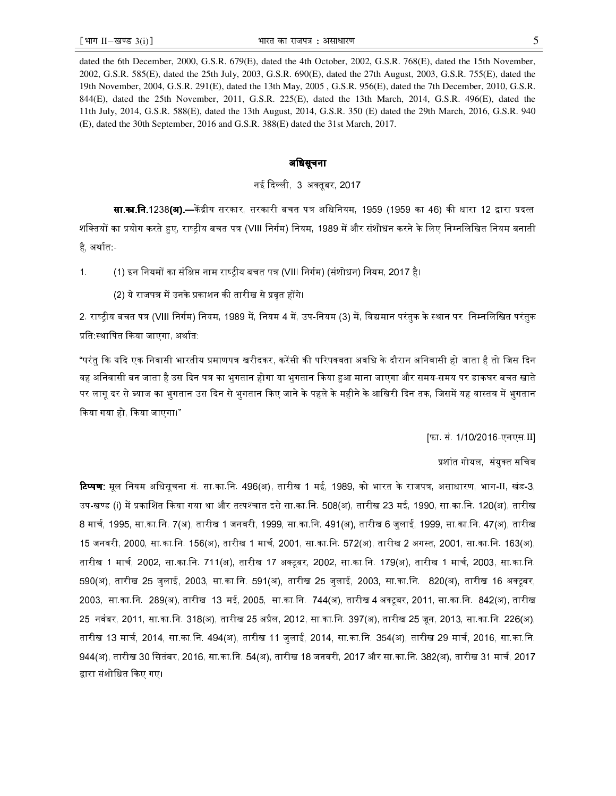dated the 6th December, 2000, G.S.R. 679(E), dated the 4th October, 2002, G.S.R. 768(E), dated the 15th November, 2002, G.S.R. 585(E), dated the 25th July, 2003, G.S.R. 690(E), dated the 27th August, 2003, G.S.R. 755(E), dated the 19th November, 2004, G.S.R. 291(E), dated the 13th May, 2005 , G.S.R. 956(E), dated the 7th December, 2010, G.S.R. 844(E), dated the 25th November, 2011, G.S.R. 225(E), dated the 13th March, 2014, G.S.R. 496(E), dated the 11th July, 2014, G.S.R. 588(E), dated the 13th August, 2014, G.S.R. 350 (E) dated the 29th March, 2016, G.S.R. 940 (E), dated the 30th September, 2016 and G.S.R. 388(E) dated the 31st March, 2017.

### अधिसूचना

## नई दिल्ली, 3 अक्तुबर, 2017

**सा.का.नि.** 1238**(अ).**—केंद्रीय सरकार, सरकारी बचत पत्र अधिनियम, 1959 (1959 का 46) की धारा 12 द्वारा प्रदत्त शक्तियों का प्रयोग करते हुए, राष्ट्रीय बचत पत्र (VIII निर्गम) नियम, 1989 में और संशोधन करने के लिए निम्नलिखित नियम बनाती है, अर्थात:-

1. (1) इन नियमों का संक्षिप्त नाम राष्ट्रीय बचत पत्र (VIII निर्गम) (संशोधन) नियम, 2017 है।

(2) ये राजपत्र में उनके प्रकाशन की तारीख से प्रवृत होंगे।

2. राष्टीय बचत पत्र (VIII निर्गम) नियम, 1989 में, नियम 4 में, उप-नियम (3) में, विद्यमान परंतुक के स्थान पर निम्नलिखित परंतुक प्रति स्थापित किया जाएगा, अर्थात:

"परंतु कि यदि एक निवासी भारतीय प्रमाणपत्र खरीदकर, करेंसी की परिपक्वता अवधि के दौरान अनिवासी हो जाता है तो जिस दिन वह अनिवासी बन जाता है उस दिन पत्र का भुगतान होगा या भुगतान किया हुआ माना जाएगा और समय-समय पर डाकघर बचत खाते पर लागू दर से ब्याज का भुगतान उस दिन से भुगतान किए जाने के पहले के महीने के आखिरी दिन तक, जिसमें यह वास्तव में भुगतान Gकया गया हो, Gकया जाएगा।"

[फा. सं. 1/10/2016-एनएस.II]

प्रशांत गोयल, संयक्त सचिव

**टिप्पण:** मूल नियम अधिसूचना सं. सा.का.नि. 496(अ), तारीख 1 मई, 1989, को भारत के राजपत्र, असाधारण, भाग-II, खंड-3, उप-खण्ड (i) में प्रकाशित किया गया था और तत्पश्चात इसे सा.का.नि. 508(अ), तारीख 23 मई, 1990, सा.का.नि. 120(अ), तारीख 8 मार्च, 1995, सा.का.नि. 7(अ), तारीख 1 जनवरी, 1999, सा.का.नि. 491(अ), तारीख 6 जुलाई, 1999, सा.का.नि. 47(अ), तारीख 15 जनवरी, 2000, सा.का.नि. 156(अ), तारीख 1 मार्च, 2001, सा.का.नि. 572(अ), तारीख 2 अगस्त, 2001, सा.का.नि. 163(अ), तारीख 1 मार्च, 2002, सा.का.नि. 711(अ), तारीख 17 अक्टूबर, 2002, सा.का.नि. 179(अ), तारीख 1 मार्च, 2003, सा.का.नि. 590(अ), तारीख 25 जुलाई, 2003, सा.का.िन. 591(अ), तारीख 25 जुलाई, 2003, सा.का.िन. 820(अ), तारीख 16 अ टूबर, 2003, सा.का.नि. 289(अ), तारीख 13 मई, 2005, सा.का.नि. 744(अ), तारीख 4 अक्टबर, 2011, सा.का.नि. 842(अ), तारीख 25 नवंबर, 2011, सा.का.नि. 318(अ), तारीख 25 अप्रैल, 2012, सा.का.नि. 397(अ), तारीख 25 जन, 2013, सा.का.नि. 226(अ), तारीख 13 मार्च, 2014, सा.का.नि. 494(अ), तारीख 11 जुलाई, 2014, सा.का.नि. 354(अ), तारीख 29 मार्च, 2016, सा.का.नि. 944(अ), तारीख 30 सितंबर, 2016, सा.का.नि. 54(अ), तारीख 18 जनवरी, 2017 और सा.का.नि. 382(अ), तारीख 31 मार्च, 2017 ारा संशोिधत Gकए गए।